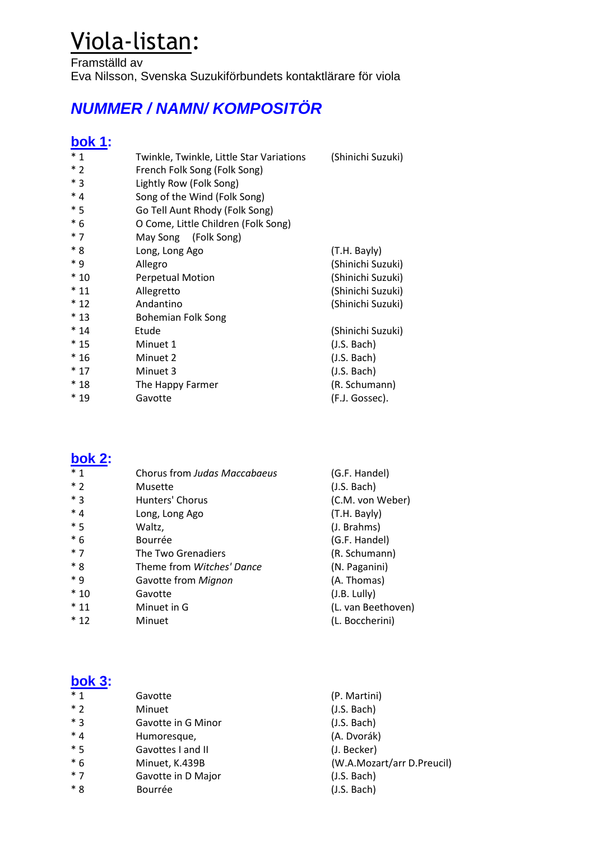# Viola-listan:

Framställd av Eva Nilsson, Svenska Suzukiförbundets kontaktlärare för viola

# **NUMMER / NAMN/ KOMPOSITÖR**

#### **bok 1:**

| $*1$  | Twinkle, Twinkle, Little Star Variations | (Shinichi Suzuki) |
|-------|------------------------------------------|-------------------|
| $*2$  | French Folk Song (Folk Song)             |                   |
| $*3$  | Lightly Row (Folk Song)                  |                   |
| $*4$  | Song of the Wind (Folk Song)             |                   |
| $*5$  | Go Tell Aunt Rhody (Folk Song)           |                   |
| $*6$  | O Come, Little Children (Folk Song)      |                   |
| $*7$  | May Song (Folk Song)                     |                   |
| $*8$  | Long, Long Ago                           | (T.H. Bayly)      |
| * 9   | Allegro                                  | (Shinichi Suzuki) |
| $*10$ | <b>Perpetual Motion</b>                  | (Shinichi Suzuki) |
| $*11$ | Allegretto                               | (Shinichi Suzuki) |
| $*12$ | Andantino                                | (Shinichi Suzuki) |
| $*13$ | <b>Bohemian Folk Song</b>                |                   |
| $*14$ | Etude                                    | (Shinichi Suzuki) |
| $*15$ | Minuet 1                                 | (J.S. Bach)       |
| $*16$ | Minuet 2                                 | (J.S. Bach)       |
| $*17$ | Minuet 3                                 | (J.S. Bach)       |
| $*18$ | The Happy Farmer                         | (R. Schumann)     |
| $*19$ | Gavotte                                  | (F.J. Gossec).    |

#### **bok 2:**

| $*_{1}$ | Chorus from Judas Maccabaeus | (G.F. Handel)      |
|---------|------------------------------|--------------------|
| $*2$    | Musette                      | (J.S. Bach)        |
| * 3     | Hunters' Chorus              | (C.M. von Weber)   |
| $*4$    | Long, Long Ago               | (T.H. Bayly)       |
| $*5$    | Waltz,                       | (J. Brahms)        |
| $*6$    | Bourrée                      | (G.F. Handel)      |
| $*7$    | The Two Grenadiers           | (R. Schumann)      |
| $*8$    | Theme from Witches' Dance    | (N. Paganini)      |
| * 9     | Gavotte from Mignon          | (A. Thomas)        |
| $*10$   | Gavotte                      | (J.B. Lully)       |
| $*11$   | Minuet in G                  | (L. van Beethoven) |
| $*12$   | Minuet                       | (L. Boccherini)    |
|         |                              |                    |

#### **bok 3:**

| $*1$ | Gavotte            | (P. Martini)               |
|------|--------------------|----------------------------|
| $*2$ | Minuet             | (J.S. Bach)                |
| $*3$ | Gavotte in G Minor | (J.S. Bach)                |
| $*4$ | Humoresque,        | (A. Dvorák)                |
| $*5$ | Gavottes I and II  | (J. Becker)                |
| $*6$ | Minuet, K.439B     | (W.A.Mozart/arr D.Preucil) |
| $*7$ | Gavotte in D Major | (J.S. Bach)                |
| $*8$ | Bourrée            | (J.S. Bach)                |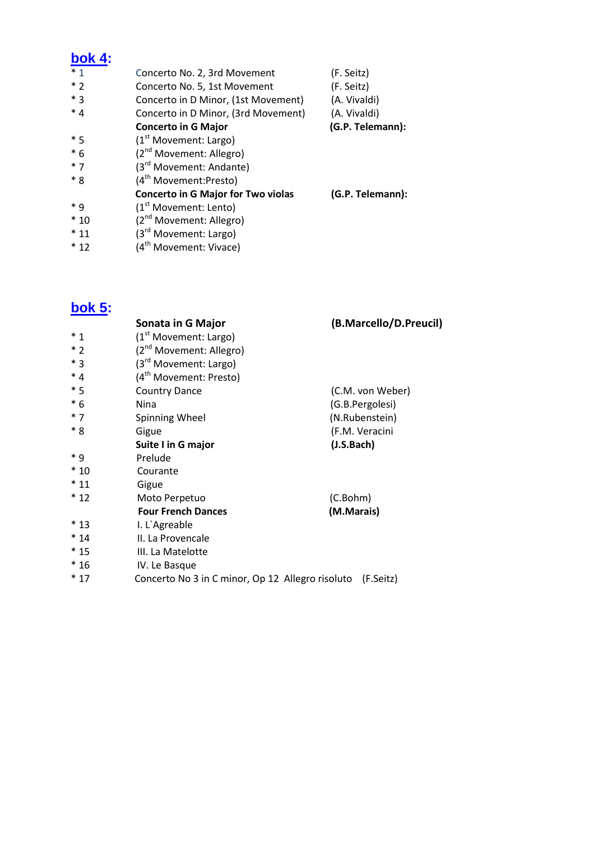### **bok 4:**

| $*1$  | Concerto No. 2, 3rd Movement              | (F. Seitz)       |
|-------|-------------------------------------------|------------------|
| $*2$  | Concerto No. 5, 1st Movement              | (F. Seitz)       |
| $*$ 3 | Concerto in D Minor, (1st Movement)       | (A. Vivaldi)     |
| $*4$  | Concerto in D Minor, (3rd Movement)       | (A. Vivaldi)     |
|       | <b>Concerto in G Major</b>                | (G.P. Telemann): |
| $*5$  | (1 <sup>st</sup> Movement: Large)         |                  |
| $*6$  | (2 <sup>nd</sup> Movement: Allegro)       |                  |
| $*7$  | (3rd Movement: Andante)                   |                  |
| $*8$  | (4 <sup>th</sup> Movement:Presto)         |                  |
|       | <b>Concerto in G Major for Two violas</b> | (G.P. Telemann): |
| $* q$ | (1 <sup>st</sup> Movement: Lento)         |                  |
| $*10$ | (2 <sup>nd</sup> Movement: Allegro)       |                  |
| $*11$ | (3 <sup>rd</sup> Movement: Largo)         |                  |
| $*12$ | (4 <sup>th</sup> Movement: Vivace)        |                  |

## **bok 5:**

|       | Sonata in G Major                                          | (B.Marcello/D.Preucil) |
|-------|------------------------------------------------------------|------------------------|
| $*1$  | (1 <sup>st</sup> Movement: Large)                          |                        |
| $*2$  | (2 <sup>nd</sup> Movement: Allegro)                        |                        |
| $*3$  | (3 <sup>rd</sup> Movement: Largo)                          |                        |
| $*4$  | (4 <sup>th</sup> Movement: Presto)                         |                        |
| $*5$  | <b>Country Dance</b>                                       | (C.M. von Weber)       |
| $*6$  | Nina                                                       | (G.B.Pergolesi)        |
| $*7$  | Spinning Wheel                                             | (N.Rubenstein)         |
| * 8   | Gigue                                                      | (F.M. Veracini         |
|       | Suite I in G major                                         | (J.S.Bach)             |
| $*9$  | Prelude                                                    |                        |
| $*10$ | Courante                                                   |                        |
| $*11$ | Gigue                                                      |                        |
| $*12$ | Moto Perpetuo                                              | (C.Bohm)               |
|       | <b>Four French Dances</b>                                  | (M.Marais)             |
| $*13$ | I. L'Agreable                                              |                        |
| $*14$ | II. La Provencale                                          |                        |
| $*15$ | III. La Matelotte                                          |                        |
| $*16$ | IV. Le Basque                                              |                        |
| $*17$ | Concerto No 3 in C minor, Op 12 Allegro risoluto (F.Seitz) |                        |
|       |                                                            |                        |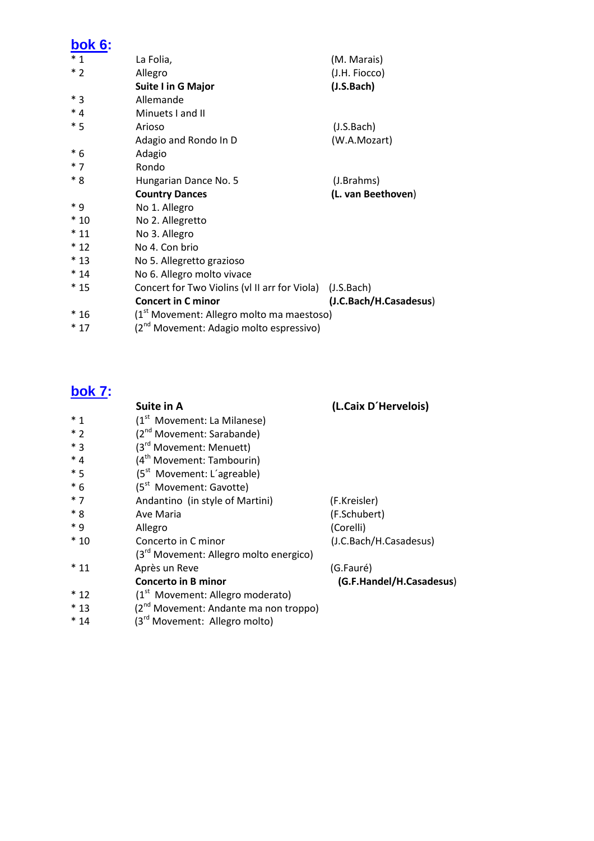## **bok 6:**

| $*1$    | La Folia,                                                | (M. Marais)            |
|---------|----------------------------------------------------------|------------------------|
| $*2$    | Allegro                                                  | (J.H. Fiocco)          |
|         | Suite I in G Major                                       | (J.S.Bach)             |
| $*3$    | Allemande                                                |                        |
| $*_{4}$ | Minuets I and II                                         |                        |
| $*5$    | Arioso                                                   | (J.S.Bach)             |
|         | Adagio and Rondo In D                                    | (W.A.Mozart)           |
| $*6$    | Adagio                                                   |                        |
| $*7$    | Rondo                                                    |                        |
| * 8     | Hungarian Dance No. 5                                    | (J.Brahms)             |
|         | <b>Country Dances</b>                                    | (L. van Beethoven)     |
| * 9     | No 1. Allegro                                            |                        |
| $*10$   | No 2. Allegretto                                         |                        |
| $*11$   | No 3. Allegro                                            |                        |
| $*12$   | No 4. Con brio                                           |                        |
| $*13$   | No 5. Allegretto grazioso                                |                        |
| $*14$   | No 6. Allegro molto vivace                               |                        |
| $*15$   | Concert for Two Violins (vl II arr for Viola) (J.S.Bach) |                        |
|         | <b>Concert in C minor</b>                                | (J.C.Bach/H.Casadesus) |
| $*16$   | (1 <sup>st</sup> Movement: Allegro molto ma maestoso)    |                        |
| $*17$   | (2 <sup>nd</sup> Movement: Adagio molto espressivo)      |                        |

# **bok 7:**

|         | Suite in A                                         | (L.Caix D'Hervelois)     |
|---------|----------------------------------------------------|--------------------------|
| $*_{1}$ | (1 <sup>st</sup> Movement: La Milanese)            |                          |
| $*2$    | (2 <sup>nd</sup> Movement: Sarabande)              |                          |
| $*3$    | (3rd Movement: Menuett)                            |                          |
| $*_{4}$ | (4 <sup>th</sup> Movement: Tambourin)              |                          |
| $*5$    | $(5st$ Movement: L'agreable)                       |                          |
| $*6$    | (5 <sup>st</sup> Movement: Gavotte)                |                          |
| $*7$    | Andantino (in style of Martini)                    | (F.Kreisler)             |
| $*8$    | Ave Maria                                          | (F.Schubert)             |
| $*$ 9   | Allegro                                            | (Corelli)                |
| $*10$   | Concerto in C minor                                | (J.C.Bach/H.Casadesus)   |
|         | (3 <sup>rd</sup> Movement: Allegro molto energico) |                          |
| $*11$   | Après un Reve                                      | (G.Fauré)                |
|         | <b>Concerto in B minor</b>                         | (G.F.Handel/H.Casadesus) |
| $*12$   | (1 <sup>st</sup> Movement: Allegro moderato)       |                          |
| $*13$   | (2 <sup>nd</sup> Movement: Andante ma non troppo)  |                          |
| $*14$   | (3 <sup>rd</sup> Movement: Allegro molto)          |                          |